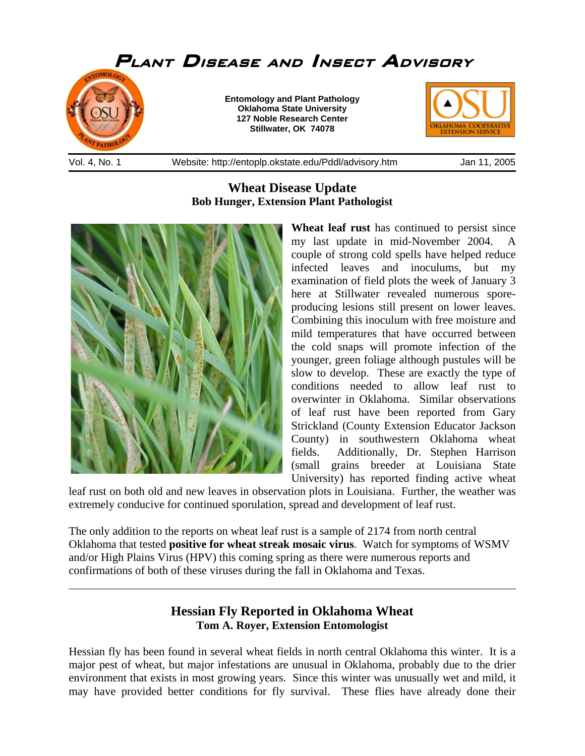

## **Wheat Disease Update Bob Hunger, Extension Plant Pathologist**



l

**Wheat leaf rust** has continued to persist since my last update in mid-November 2004. A couple of strong cold spells have helped reduce infected leaves and inoculums, but my examination of field plots the week of January 3 here at Stillwater revealed numerous sporeproducing lesions still present on lower leaves. Combining this inoculum with free moisture and mild temperatures that have occurred between the cold snaps will promote infection of the younger, green foliage although pustules will be slow to develop. These are exactly the type of conditions needed to allow leaf rust to overwinter in Oklahoma. Similar observations of leaf rust have been reported from Gary Strickland (County Extension Educator Jackson County) in southwestern Oklahoma wheat fields. Additionally, Dr. Stephen Harrison (small grains breeder at Louisiana State University) has reported finding active wheat

leaf rust on both old and new leaves in observation plots in Louisiana. Further, the weather was extremely conducive for continued sporulation, spread and development of leaf rust.

The only addition to the reports on wheat leaf rust is a sample of 2174 from north central Oklahoma that tested **positive for wheat streak mosaic virus**. Watch for symptoms of WSMV and/or High Plains Virus (HPV) this coming spring as there were numerous reports and confirmations of both of these viruses during the fall in Oklahoma and Texas.

## **Hessian Fly Reported in Oklahoma Wheat Tom A. Royer, Extension Entomologist**

Hessian fly has been found in several wheat fields in north central Oklahoma this winter. It is a major pest of wheat, but major infestations are unusual in Oklahoma, probably due to the drier environment that exists in most growing years. Since this winter was unusually wet and mild, it may have provided better conditions for fly survival. These flies have already done their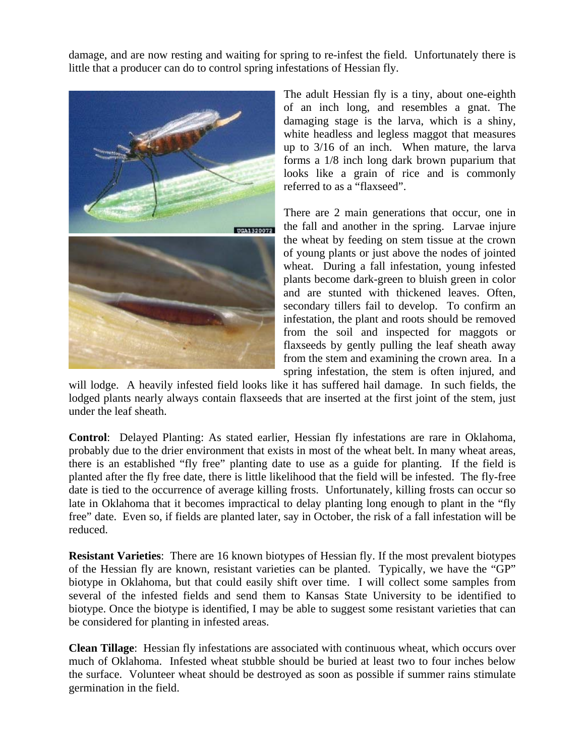damage, and are now resting and waiting for spring to re-infest the field. Unfortunately there is little that a producer can do to control spring infestations of Hessian fly.



The adult Hessian fly is a tiny, about one-eighth of an inch long, and resembles a gnat. The damaging stage is the larva, which is a shiny, white headless and legless maggot that measures up to 3/16 of an inch. When mature, the larva forms a 1/8 inch long dark brown puparium that looks like a grain of rice and is commonly referred to as a "flaxseed".

There are 2 main generations that occur, one in the fall and another in the spring. Larvae injure the wheat by feeding on stem tissue at the crown of young plants or just above the nodes of jointed wheat. During a fall infestation, young infested plants become dark-green to bluish green in color and are stunted with thickened leaves. Often, secondary tillers fail to develop. To confirm an infestation, the plant and roots should be removed from the soil and inspected for maggots or flaxseeds by gently pulling the leaf sheath away from the stem and examining the crown area. In a spring infestation, the stem is often injured, and

will lodge. A heavily infested field looks like it has suffered hail damage. In such fields, the lodged plants nearly always contain flaxseeds that are inserted at the first joint of the stem, just under the leaf sheath.

**Control**: Delayed Planting: As stated earlier, Hessian fly infestations are rare in Oklahoma, probably due to the drier environment that exists in most of the wheat belt. In many wheat areas, there is an established "fly free" planting date to use as a guide for planting. If the field is planted after the fly free date, there is little likelihood that the field will be infested. The fly-free date is tied to the occurrence of average killing frosts. Unfortunately, killing frosts can occur so late in Oklahoma that it becomes impractical to delay planting long enough to plant in the "fly free" date. Even so, if fields are planted later, say in October, the risk of a fall infestation will be reduced.

**Resistant Varieties**: There are 16 known biotypes of Hessian fly. If the most prevalent biotypes of the Hessian fly are known, resistant varieties can be planted. Typically, we have the "GP" biotype in Oklahoma, but that could easily shift over time. I will collect some samples from several of the infested fields and send them to Kansas State University to be identified to biotype. Once the biotype is identified, I may be able to suggest some resistant varieties that can be considered for planting in infested areas.

**Clean Tillage**: Hessian fly infestations are associated with continuous wheat, which occurs over much of Oklahoma. Infested wheat stubble should be buried at least two to four inches below the surface. Volunteer wheat should be destroyed as soon as possible if summer rains stimulate germination in the field.